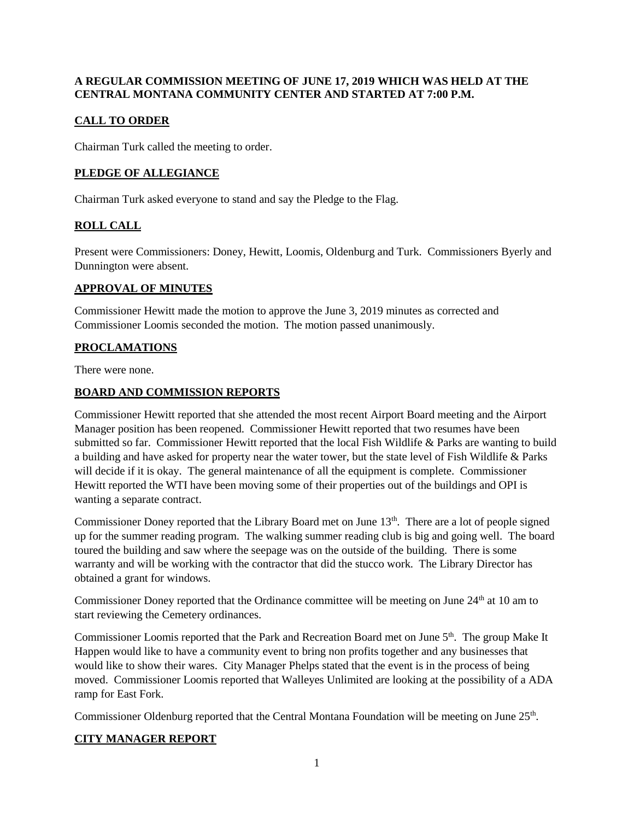#### **A REGULAR COMMISSION MEETING OF JUNE 17, 2019 WHICH WAS HELD AT THE CENTRAL MONTANA COMMUNITY CENTER AND STARTED AT 7:00 P.M.**

# **CALL TO ORDER**

Chairman Turk called the meeting to order.

## **PLEDGE OF ALLEGIANCE**

Chairman Turk asked everyone to stand and say the Pledge to the Flag.

# **ROLL CALL**

Present were Commissioners: Doney, Hewitt, Loomis, Oldenburg and Turk. Commissioners Byerly and Dunnington were absent.

#### **APPROVAL OF MINUTES**

Commissioner Hewitt made the motion to approve the June 3, 2019 minutes as corrected and Commissioner Loomis seconded the motion. The motion passed unanimously.

### **PROCLAMATIONS**

There were none.

### **BOARD AND COMMISSION REPORTS**

Commissioner Hewitt reported that she attended the most recent Airport Board meeting and the Airport Manager position has been reopened. Commissioner Hewitt reported that two resumes have been submitted so far. Commissioner Hewitt reported that the local Fish Wildlife & Parks are wanting to build a building and have asked for property near the water tower, but the state level of Fish Wildlife & Parks will decide if it is okay. The general maintenance of all the equipment is complete. Commissioner Hewitt reported the WTI have been moving some of their properties out of the buildings and OPI is wanting a separate contract.

Commissioner Doney reported that the Library Board met on June 13<sup>th</sup>. There are a lot of people signed up for the summer reading program. The walking summer reading club is big and going well. The board toured the building and saw where the seepage was on the outside of the building. There is some warranty and will be working with the contractor that did the stucco work. The Library Director has obtained a grant for windows.

Commissioner Doney reported that the Ordinance committee will be meeting on June 24<sup>th</sup> at 10 am to start reviewing the Cemetery ordinances.

Commissioner Loomis reported that the Park and Recreation Board met on June 5<sup>th</sup>. The group Make It Happen would like to have a community event to bring non profits together and any businesses that would like to show their wares. City Manager Phelps stated that the event is in the process of being moved. Commissioner Loomis reported that Walleyes Unlimited are looking at the possibility of a ADA ramp for East Fork.

Commissioner Oldenburg reported that the Central Montana Foundation will be meeting on June 25<sup>th</sup>.

### **CITY MANAGER REPORT**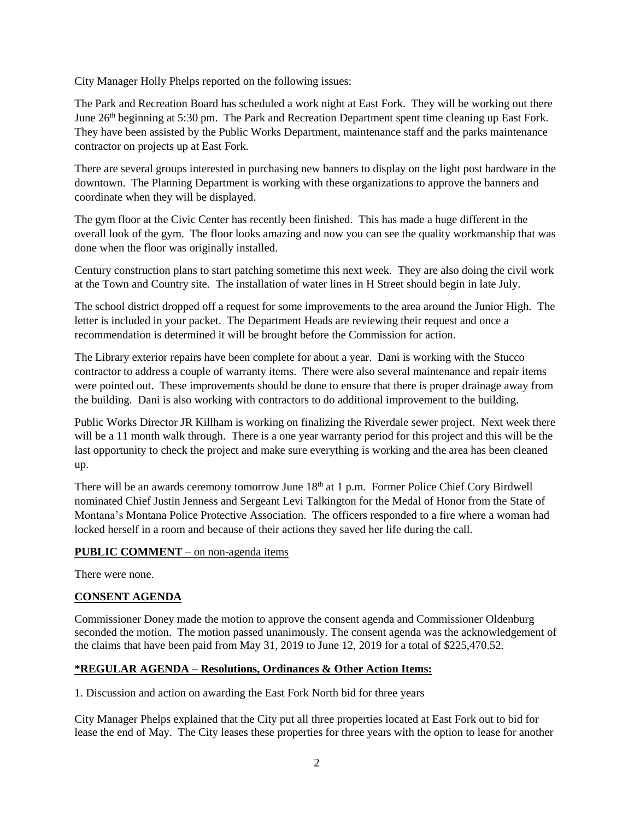City Manager Holly Phelps reported on the following issues:

The Park and Recreation Board has scheduled a work night at East Fork. They will be working out there June 26<sup>th</sup> beginning at 5:30 pm. The Park and Recreation Department spent time cleaning up East Fork. They have been assisted by the Public Works Department, maintenance staff and the parks maintenance contractor on projects up at East Fork.

There are several groups interested in purchasing new banners to display on the light post hardware in the downtown. The Planning Department is working with these organizations to approve the banners and coordinate when they will be displayed.

The gym floor at the Civic Center has recently been finished. This has made a huge different in the overall look of the gym. The floor looks amazing and now you can see the quality workmanship that was done when the floor was originally installed.

Century construction plans to start patching sometime this next week. They are also doing the civil work at the Town and Country site. The installation of water lines in H Street should begin in late July.

The school district dropped off a request for some improvements to the area around the Junior High. The letter is included in your packet. The Department Heads are reviewing their request and once a recommendation is determined it will be brought before the Commission for action.

The Library exterior repairs have been complete for about a year. Dani is working with the Stucco contractor to address a couple of warranty items. There were also several maintenance and repair items were pointed out. These improvements should be done to ensure that there is proper drainage away from the building. Dani is also working with contractors to do additional improvement to the building.

Public Works Director JR Killham is working on finalizing the Riverdale sewer project. Next week there will be a 11 month walk through. There is a one year warranty period for this project and this will be the last opportunity to check the project and make sure everything is working and the area has been cleaned up.

There will be an awards ceremony tomorrow June 18<sup>th</sup> at 1 p.m. Former Police Chief Cory Birdwell nominated Chief Justin Jenness and Sergeant Levi Talkington for the Medal of Honor from the State of Montana's Montana Police Protective Association. The officers responded to a fire where a woman had locked herself in a room and because of their actions they saved her life during the call.

### **PUBLIC COMMENT** – on non-agenda items

There were none.

### **CONSENT AGENDA**

Commissioner Doney made the motion to approve the consent agenda and Commissioner Oldenburg seconded the motion. The motion passed unanimously. The consent agenda was the acknowledgement of the claims that have been paid from May 31, 2019 to June 12, 2019 for a total of \$225,470.52.

## **\*REGULAR AGENDA – Resolutions, Ordinances & Other Action Items:**

1. Discussion and action on awarding the East Fork North bid for three years

City Manager Phelps explained that the City put all three properties located at East Fork out to bid for lease the end of May. The City leases these properties for three years with the option to lease for another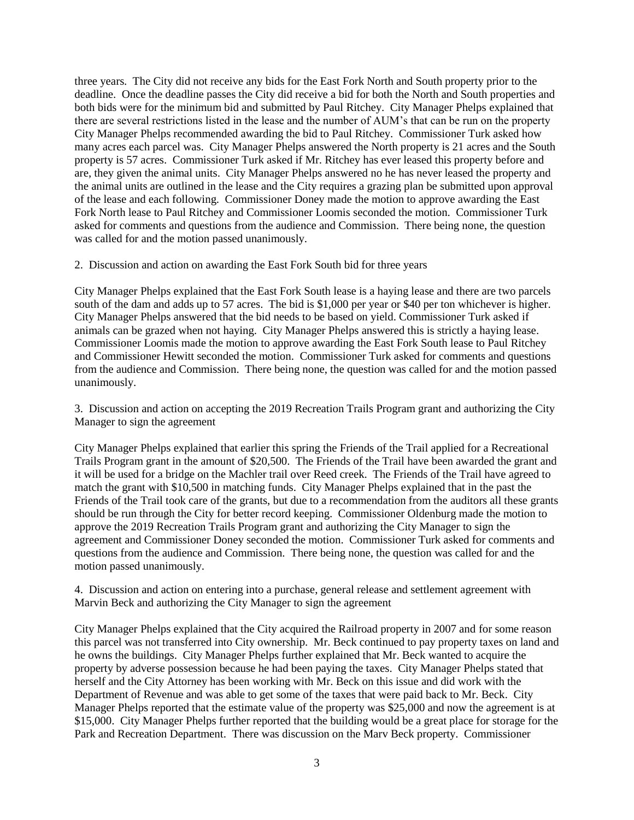three years. The City did not receive any bids for the East Fork North and South property prior to the deadline. Once the deadline passes the City did receive a bid for both the North and South properties and both bids were for the minimum bid and submitted by Paul Ritchey. City Manager Phelps explained that there are several restrictions listed in the lease and the number of AUM's that can be run on the property City Manager Phelps recommended awarding the bid to Paul Ritchey. Commissioner Turk asked how many acres each parcel was. City Manager Phelps answered the North property is 21 acres and the South property is 57 acres. Commissioner Turk asked if Mr. Ritchey has ever leased this property before and are, they given the animal units. City Manager Phelps answered no he has never leased the property and the animal units are outlined in the lease and the City requires a grazing plan be submitted upon approval of the lease and each following. Commissioner Doney made the motion to approve awarding the East Fork North lease to Paul Ritchey and Commissioner Loomis seconded the motion. Commissioner Turk asked for comments and questions from the audience and Commission. There being none, the question was called for and the motion passed unanimously.

2. Discussion and action on awarding the East Fork South bid for three years

City Manager Phelps explained that the East Fork South lease is a haying lease and there are two parcels south of the dam and adds up to 57 acres. The bid is \$1,000 per year or \$40 per ton whichever is higher. City Manager Phelps answered that the bid needs to be based on yield. Commissioner Turk asked if animals can be grazed when not haying. City Manager Phelps answered this is strictly a haying lease. Commissioner Loomis made the motion to approve awarding the East Fork South lease to Paul Ritchey and Commissioner Hewitt seconded the motion. Commissioner Turk asked for comments and questions from the audience and Commission. There being none, the question was called for and the motion passed unanimously.

3. Discussion and action on accepting the 2019 Recreation Trails Program grant and authorizing the City Manager to sign the agreement

City Manager Phelps explained that earlier this spring the Friends of the Trail applied for a Recreational Trails Program grant in the amount of \$20,500. The Friends of the Trail have been awarded the grant and it will be used for a bridge on the Machler trail over Reed creek. The Friends of the Trail have agreed to match the grant with \$10,500 in matching funds. City Manager Phelps explained that in the past the Friends of the Trail took care of the grants, but due to a recommendation from the auditors all these grants should be run through the City for better record keeping. Commissioner Oldenburg made the motion to approve the 2019 Recreation Trails Program grant and authorizing the City Manager to sign the agreement and Commissioner Doney seconded the motion. Commissioner Turk asked for comments and questions from the audience and Commission. There being none, the question was called for and the motion passed unanimously.

4. Discussion and action on entering into a purchase, general release and settlement agreement with Marvin Beck and authorizing the City Manager to sign the agreement

City Manager Phelps explained that the City acquired the Railroad property in 2007 and for some reason this parcel was not transferred into City ownership. Mr. Beck continued to pay property taxes on land and he owns the buildings. City Manager Phelps further explained that Mr. Beck wanted to acquire the property by adverse possession because he had been paying the taxes. City Manager Phelps stated that herself and the City Attorney has been working with Mr. Beck on this issue and did work with the Department of Revenue and was able to get some of the taxes that were paid back to Mr. Beck. City Manager Phelps reported that the estimate value of the property was \$25,000 and now the agreement is at \$15,000. City Manager Phelps further reported that the building would be a great place for storage for the Park and Recreation Department. There was discussion on the Marv Beck property. Commissioner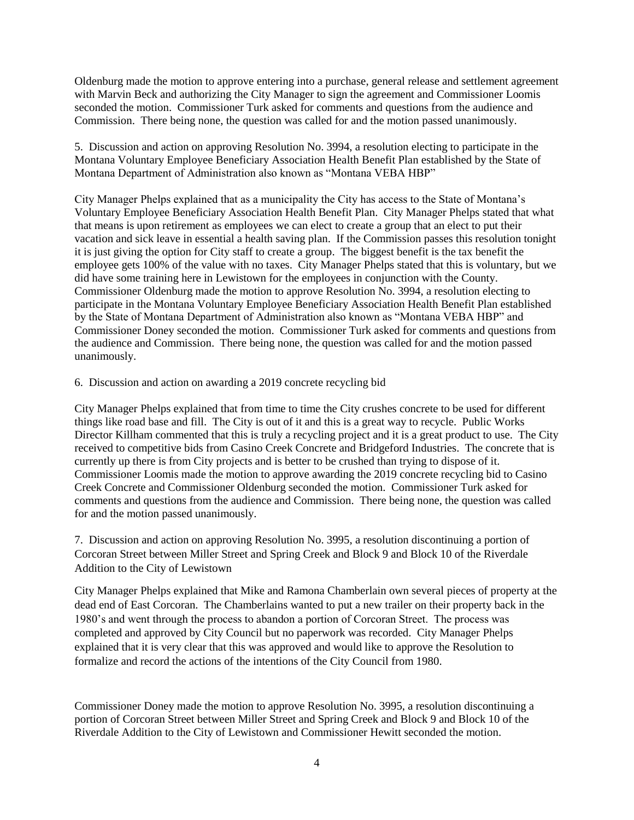Oldenburg made the motion to approve entering into a purchase, general release and settlement agreement with Marvin Beck and authorizing the City Manager to sign the agreement and Commissioner Loomis seconded the motion. Commissioner Turk asked for comments and questions from the audience and Commission. There being none, the question was called for and the motion passed unanimously.

5. Discussion and action on approving Resolution No. 3994, a resolution electing to participate in the Montana Voluntary Employee Beneficiary Association Health Benefit Plan established by the State of Montana Department of Administration also known as "Montana VEBA HBP"

City Manager Phelps explained that as a municipality the City has access to the State of Montana's Voluntary Employee Beneficiary Association Health Benefit Plan. City Manager Phelps stated that what that means is upon retirement as employees we can elect to create a group that an elect to put their vacation and sick leave in essential a health saving plan. If the Commission passes this resolution tonight it is just giving the option for City staff to create a group. The biggest benefit is the tax benefit the employee gets 100% of the value with no taxes. City Manager Phelps stated that this is voluntary, but we did have some training here in Lewistown for the employees in conjunction with the County. Commissioner Oldenburg made the motion to approve Resolution No. 3994, a resolution electing to participate in the Montana Voluntary Employee Beneficiary Association Health Benefit Plan established by the State of Montana Department of Administration also known as "Montana VEBA HBP" and Commissioner Doney seconded the motion. Commissioner Turk asked for comments and questions from the audience and Commission. There being none, the question was called for and the motion passed unanimously.

6. Discussion and action on awarding a 2019 concrete recycling bid

City Manager Phelps explained that from time to time the City crushes concrete to be used for different things like road base and fill. The City is out of it and this is a great way to recycle. Public Works Director Killham commented that this is truly a recycling project and it is a great product to use. The City received to competitive bids from Casino Creek Concrete and Bridgeford Industries. The concrete that is currently up there is from City projects and is better to be crushed than trying to dispose of it. Commissioner Loomis made the motion to approve awarding the 2019 concrete recycling bid to Casino Creek Concrete and Commissioner Oldenburg seconded the motion. Commissioner Turk asked for comments and questions from the audience and Commission. There being none, the question was called for and the motion passed unanimously.

7. Discussion and action on approving Resolution No. 3995, a resolution discontinuing a portion of Corcoran Street between Miller Street and Spring Creek and Block 9 and Block 10 of the Riverdale Addition to the City of Lewistown

City Manager Phelps explained that Mike and Ramona Chamberlain own several pieces of property at the dead end of East Corcoran. The Chamberlains wanted to put a new trailer on their property back in the 1980's and went through the process to abandon a portion of Corcoran Street. The process was completed and approved by City Council but no paperwork was recorded. City Manager Phelps explained that it is very clear that this was approved and would like to approve the Resolution to formalize and record the actions of the intentions of the City Council from 1980.

Commissioner Doney made the motion to approve Resolution No. 3995, a resolution discontinuing a portion of Corcoran Street between Miller Street and Spring Creek and Block 9 and Block 10 of the Riverdale Addition to the City of Lewistown and Commissioner Hewitt seconded the motion.